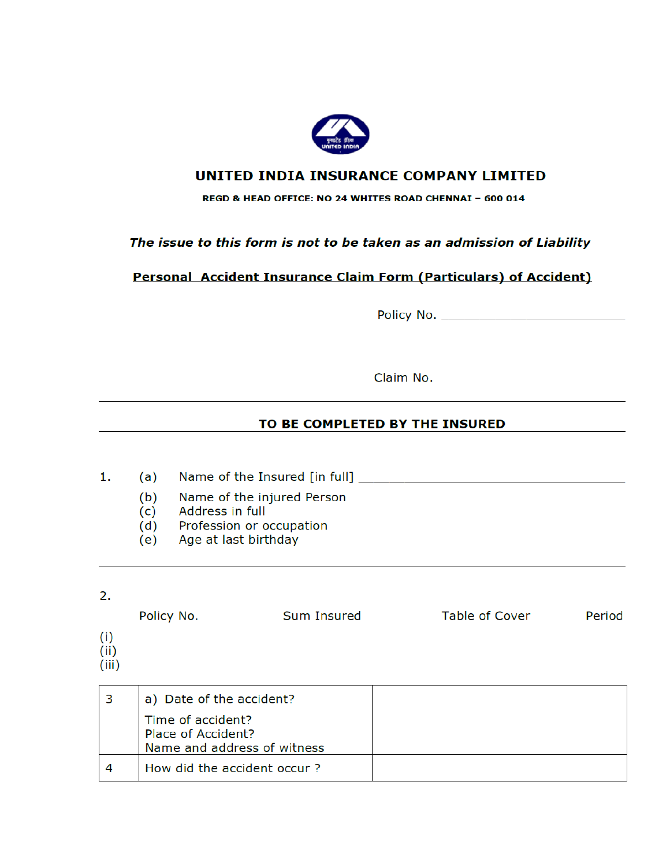

# UNITED INDIA INSURANCE COMPANY LIMITED

### REGD & HEAD OFFICE: NO 24 WHITES ROAD CHENNAI - 600 014

# The issue to this form is not to be taken as an admission of Liability

# Personal Accident Insurance Claim Form (Particulars) of Accident)

Claim No.

## TO BE COMPLETED BY THE INSURED

- $1.$ (a)
	- $(b)$ Name of the injured Person
	- Address in full  $(c)$
	- Profession or occupation  $(d)$
	- Age at last birthday (e)

### 2.

Sum Insured Table of Cover Policy No. Period  $(i)$  $(ii)$  $(iii)$  $\overline{\phantom{a}}$ <u> Tanzania de la pro</u>

| a) Date of the accident?                |  |
|-----------------------------------------|--|
| Time of accident?<br>Place of Accident? |  |
| Name and address of witness             |  |
| How did the accident occur?             |  |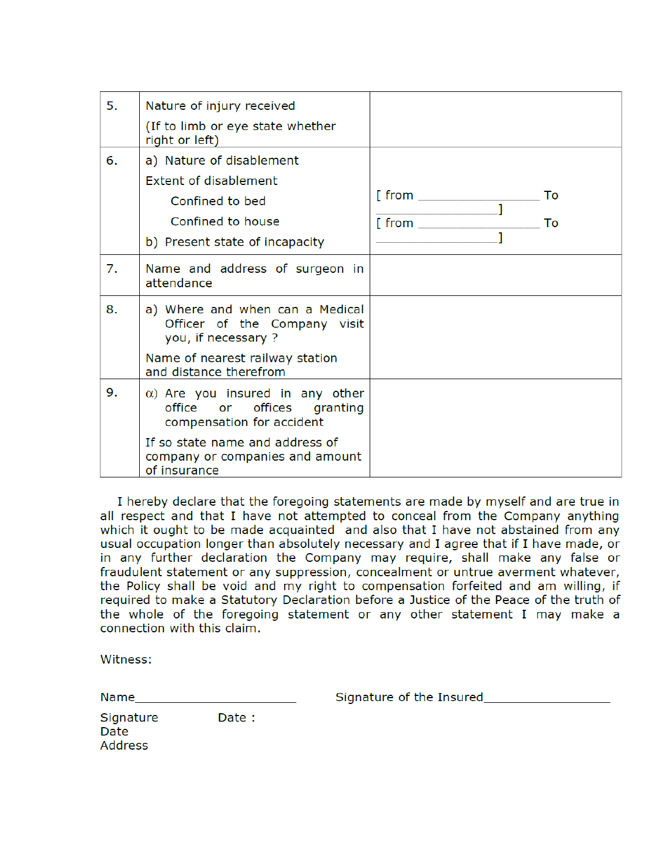| 5. | Nature of injury received                                                                          |                               |
|----|----------------------------------------------------------------------------------------------------|-------------------------------|
|    | (If to limb or eye state whether<br>right or left)                                                 |                               |
| 6. | a) Nature of disablement                                                                           |                               |
|    | <b>Extent of disablement</b>                                                                       |                               |
|    | Confined to bed                                                                                    | [ from ________________<br>To |
|    | Confined to house                                                                                  | [ from ______________<br>To   |
|    | b) Present state of incapacity                                                                     |                               |
| 7. | Name and address of surgeon in<br>attendance                                                       |                               |
| 8. | a) Where and when can a Medical<br>Officer of the Company visit<br>you, if necessary ?             |                               |
|    | Name of nearest railway station<br>and distance therefrom                                          |                               |
| 9. | $\alpha$ ) Are you insured in any other<br>office or offices granting<br>compensation for accident |                               |
|    | If so state name and address of<br>company or companies and amount<br>of insurance                 |                               |

I hereby declare that the foregoing statements are made by myself and are true in all respect and that I have not attempted to conceal from the Company anything which it ought to be made acquainted and also that I have not abstained from any usual occupation longer than absolutely necessary and I agree that if I have made, or in any further declaration the Company may require, shall make any false or fraudulent statement or any suppression, concealment or untrue averment whatever, the Policy shall be void and my right to compensation forfeited and am willing, if required to make a Statutory Declaration before a Justice of the Peace of the truth of the whole of the foregoing statement or any other statement I may make a connection with this claim.

Witness:

| Name                         |        | Signature of the Insured |
|------------------------------|--------|--------------------------|
| Signature<br>Date<br>Address | Date : |                          |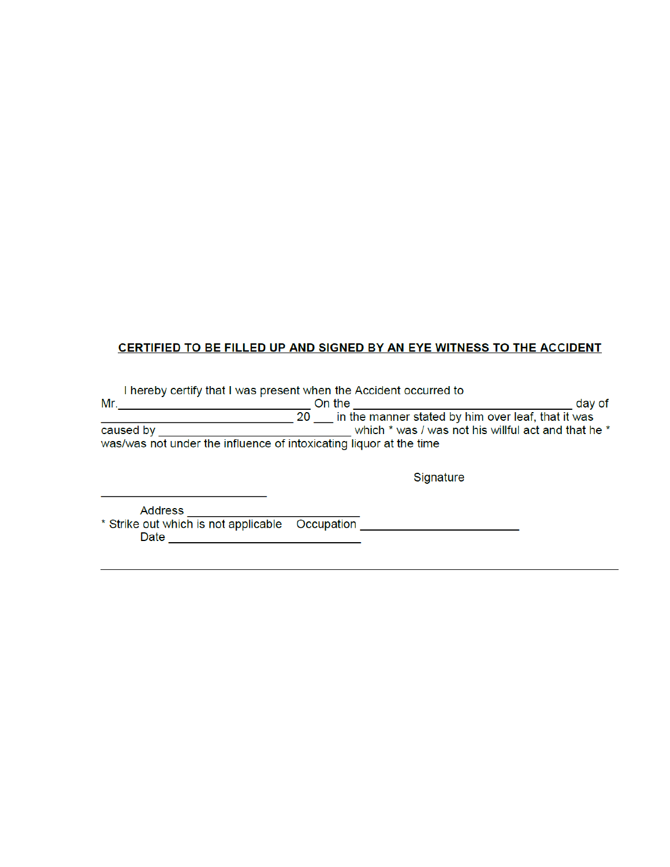# CERTIFIED TO BE FILLED UP AND SIGNED BY AN EYE WITNESS TO THE ACCIDENT

|           | I hereby certify that I was present when the Accident occurred to  |                                                     |  |
|-----------|--------------------------------------------------------------------|-----------------------------------------------------|--|
| Mr.       | On the                                                             |                                                     |  |
|           | 20                                                                 | in the manner stated by him over leaf, that it was  |  |
| caused by |                                                                    | which * was / was not his willful act and that he * |  |
|           | was/was not under the influence of intoxicating liquor at the time |                                                     |  |
|           |                                                                    | Signature                                           |  |
|           |                                                                    |                                                     |  |

Address \_\_